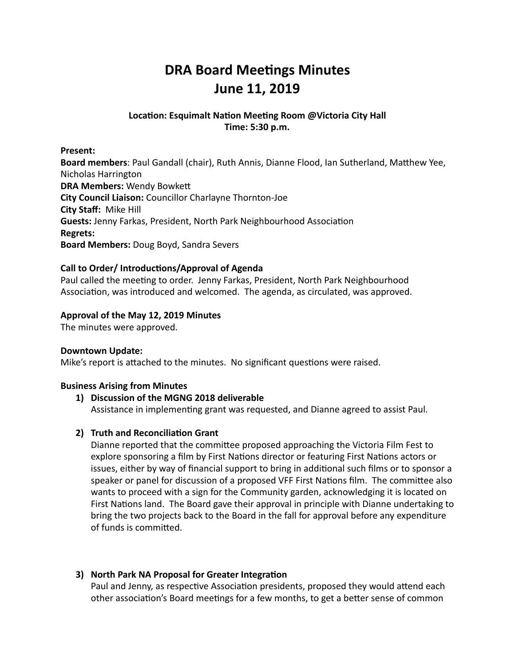# **DRA Board Meetings Minutes June 11, 2019**

# Location: Esquimalt Nation Meeting Room @Victoria City Hall **Time: 5:30 p.m.**

**Present:** 

**Board members**: Paul Gandall (chair), Ruth Annis, Dianne Flood, Ian Sutherland, Matthew Yee, Nicholas Harrington **DRA Members: Wendy Bowkett City Council Liaison:** Councillor Charlayne Thornton-Joe **City Staff: Mike Hill Guests:** Jenny Farkas, President, North Park Neighbourhood Association **Regrets: Board Members: Doug Boyd, Sandra Severs** 

# Call to Order/ Introductions/Approval of Agenda

Paul called the meeting to order. Jenny Farkas, President, North Park Neighbourhood Association, was introduced and welcomed. The agenda, as circulated, was approved.

# Approval of the May 12, 2019 Minutes

The minutes were approved.

#### **Downtown Update:**

Mike's report is attached to the minutes. No significant questions were raised.

#### **Business Arising from Minutes**

#### 1) Discussion of the MGNG 2018 deliverable

Assistance in implementing grant was requested, and Dianne agreed to assist Paul.

#### **2) Truth and Reconciliation Grant**

Dianne reported that the committee proposed approaching the Victoria Film Fest to explore sponsoring a film by First Nations director or featuring First Nations actors or issues, either by way of financial support to bring in additional such films or to sponsor a speaker or panel for discussion of a proposed VFF First Nations film. The committee also wants to proceed with a sign for the Community garden, acknowledging it is located on First Nations land. The Board gave their approval in principle with Dianne undertaking to bring the two projects back to the Board in the fall for approval before any expenditure of funds is committed.

#### **3)** North Park NA Proposal for Greater Integration

Paul and Jenny, as respective Association presidents, proposed they would attend each other association's Board meetings for a few months, to get a better sense of common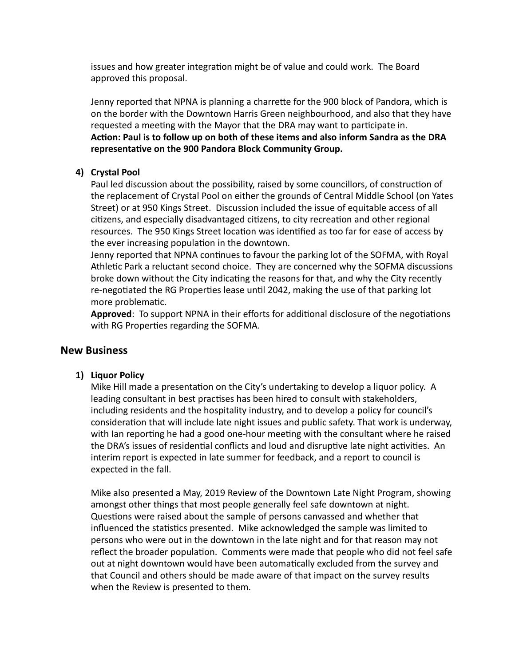issues and how greater integration might be of value and could work. The Board approved this proposal.

Jenny reported that NPNA is planning a charrette for the 900 block of Pandora, which is on the border with the Downtown Harris Green neighbourhood, and also that they have requested a meeting with the Mayor that the DRA may want to participate in. Action: Paul is to follow up on both of these items and also inform Sandra as the DRA representative on the 900 Pandora Block Community Group.

# **4) Crystal Pool**

Paul led discussion about the possibility, raised by some councillors, of construction of the replacement of Crystal Pool on either the grounds of Central Middle School (on Yates Street) or at 950 Kings Street. Discussion included the issue of equitable access of all citizens, and especially disadvantaged citizens, to city recreation and other regional resources. The 950 Kings Street location was identified as too far for ease of access by the ever increasing population in the downtown.

Jenny reported that NPNA continues to favour the parking lot of the SOFMA, with Royal Athletic Park a reluctant second choice. They are concerned why the SOFMA discussions broke down without the City indicating the reasons for that, and why the City recently re-negotiated the RG Properties lease until 2042, making the use of that parking lot more problematic.

Approved: To support NPNA in their efforts for additional disclosure of the negotiations with RG Properties regarding the SOFMA.

# **New Business**

#### 1) Liquor Policy

Mike Hill made a presentation on the City's undertaking to develop a liquor policy. A leading consultant in best practises has been hired to consult with stakeholders, including residents and the hospitality industry, and to develop a policy for council's consideration that will include late night issues and public safety. That work is underway, with Ian reporting he had a good one-hour meeting with the consultant where he raised the DRA's issues of residential conflicts and loud and disruptive late night activities. An interim report is expected in late summer for feedback, and a report to council is expected in the fall.

Mike also presented a May, 2019 Review of the Downtown Late Night Program, showing amongst other things that most people generally feel safe downtown at night. Questions were raised about the sample of persons canvassed and whether that influenced the statistics presented. Mike acknowledged the sample was limited to persons who were out in the downtown in the late night and for that reason may not reflect the broader population. Comments were made that people who did not feel safe out at night downtown would have been automatically excluded from the survey and that Council and others should be made aware of that impact on the survey results when the Review is presented to them.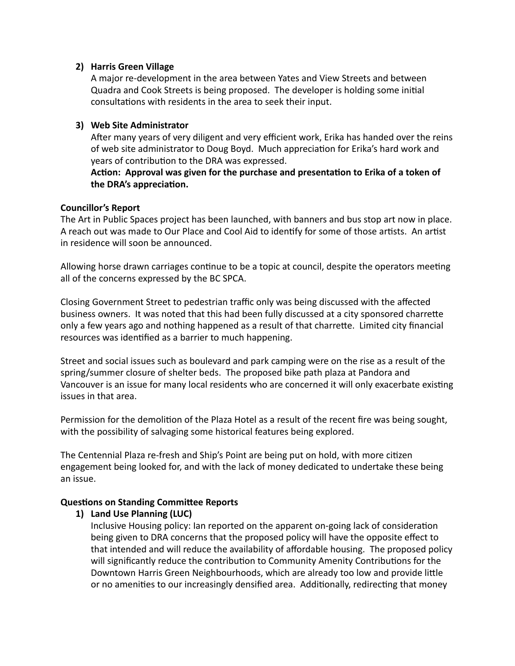#### **2) Harris Green Village**

A major re-development in the area between Yates and View Streets and between Quadra and Cook Streets is being proposed. The developer is holding some initial consultations with residents in the area to seek their input.

#### **3)** Web Site Administrator

After many years of very diligent and very efficient work, Erika has handed over the reins of web site administrator to Doug Boyd. Much appreciation for Erika's hard work and years of contribution to the DRA was expressed.

Action: Approval was given for the purchase and presentation to Erika of a token of the DRA's appreciation.

# **Councillor's Report**

The Art in Public Spaces project has been launched, with banners and bus stop art now in place. A reach out was made to Our Place and Cool Aid to identify for some of those artists. An artist in residence will soon be announced.

Allowing horse drawn carriages continue to be a topic at council, despite the operators meeting all of the concerns expressed by the BC SPCA.

Closing Government Street to pedestrian traffic only was being discussed with the affected business owners. It was noted that this had been fully discussed at a city sponsored charrette only a few years ago and nothing happened as a result of that charrette. Limited city financial resources was identified as a barrier to much happening.

Street and social issues such as boulevard and park camping were on the rise as a result of the spring/summer closure of shelter beds. The proposed bike path plaza at Pandora and Vancouver is an issue for many local residents who are concerned it will only exacerbate existing issues in that area. 

Permission for the demolition of the Plaza Hotel as a result of the recent fire was being sought, with the possibility of salvaging some historical features being explored.

The Centennial Plaza re-fresh and Ship's Point are being put on hold, with more citizen engagement being looked for, and with the lack of money dedicated to undertake these being an issue. 

#### **Questions on Standing Committee Reports**

# 1) Land Use Planning (LUC)

Inclusive Housing policy: Ian reported on the apparent on-going lack of consideration being given to DRA concerns that the proposed policy will have the opposite effect to that intended and will reduce the availability of affordable housing. The proposed policy will significantly reduce the contribution to Community Amenity Contributions for the Downtown Harris Green Neighbourhoods, which are already too low and provide little or no amenities to our increasingly densified area. Additionally, redirecting that money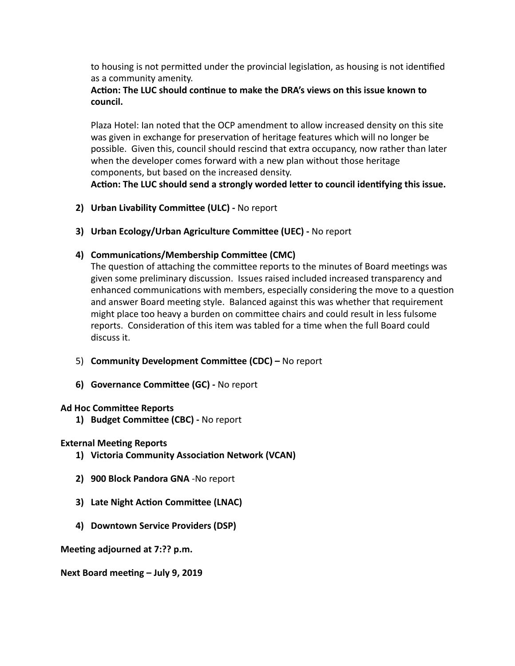to housing is not permitted under the provincial legislation, as housing is not identified as a community amenity.

# Action: The LUC should continue to make the DRA's views on this issue known to **council.**

Plaza Hotel: Ian noted that the OCP amendment to allow increased density on this site was given in exchange for preservation of heritage features which will no longer be possible. Given this, council should rescind that extra occupancy, now rather than later when the developer comes forward with a new plan without those heritage components, but based on the increased density.

Action: The LUC should send a strongly worded letter to council identifying this issue.

- **2)** Urban Livability Committee (ULC) No report
- **3)** Urban Ecology/Urban Agriculture Committee (UEC) No report

# 4) **Communications/Membership Committee (CMC)**

The question of attaching the committee reports to the minutes of Board meetings was given some preliminary discussion. Issues raised included increased transparency and enhanced communications with members, especially considering the move to a question and answer Board meeting style. Balanced against this was whether that requirement might place too heavy a burden on committee chairs and could result in less fulsome reports. Consideration of this item was tabled for a time when the full Board could discuss it.

- 5) **Community Development Committee (CDC)** No report
- **6) Governance Committee (GC)** No report

# **Ad Hoc Committee Reports**

**1) Budget Committee (CBC)** - No report

# **External Meeting Reports**

- **1) Victoria Community Association Network (VCAN)**
- **2) 900 Block Pandora GNA** -No report
- **3)** Late Night Action Committee (LNAC)
- **4) Downtown Service Providers (DSP)**

**Meeting adjourned at 7:?? p.m.** 

**Next Board meeting - July 9, 2019**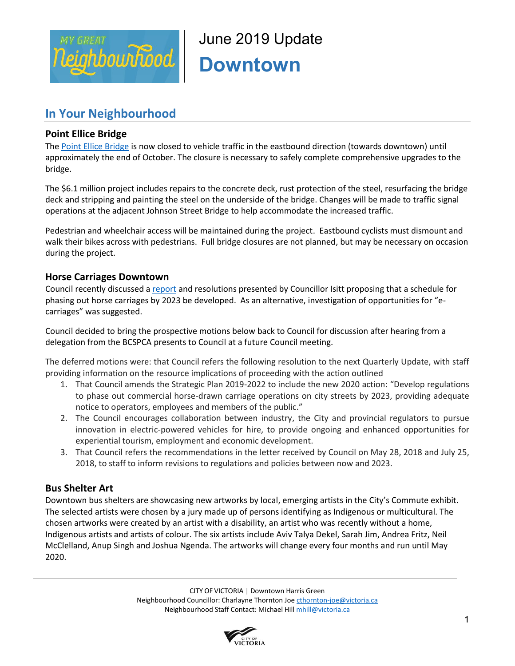

June 2019 Update **Downtown** 

# **In Your Neighbourhood**

# **Point Ellice Bridge**

The [Point Ellice Bridge](https://www.victoria.ca/EN/main/residents/road-maintenance/bridges/point-ellice-bridge.html) is now closed to vehicle traffic in the eastbound direction (towards downtown) until approximately the end of October. The closure is necessary to safely complete comprehensive upgrades to the bridge.

The \$6.1 million project includes repairs to the concrete deck, rust protection of the steel, resurfacing the bridge deck and stripping and painting the steel on the underside of the bridge. Changes will be made to traffic signal operations at the adjacent Johnson Street Bridge to help accommodate the increased traffic.

Pedestrian and wheelchair access will be maintained during the project. Eastbound cyclists must dismount and walk their bikes across with pedestrians. Full bridge closures are not planned, but may be necessary on occasion during the project.

# **Horse Carriages Downtown**

Council recently discussed a [report](https://pub-victoria.escribemeetings.com/filestream.ashx?DocumentId=37878) and resolutions presented by Councillor Isitt proposing that a schedule for phasing out horse carriages by 2023 be developed. As an alternative, investigation of opportunities for "ecarriages" was suggested.

Council decided to bring the prospective motions below back to Council for discussion after hearing from a delegation from the BCSPCA presents to Council at a future Council meeting.

The deferred motions were: that Council refers the following resolution to the next Quarterly Update, with staff providing information on the resource implications of proceeding with the action outlined

- 1. That Council amends the Strategic Plan 2019-2022 to include the new 2020 action: "Develop regulations to phase out commercial horse-drawn carriage operations on city streets by 2023, providing adequate notice to operators, employees and members of the public."
- 2. The Council encourages collaboration between industry, the City and provincial regulators to pursue innovation in electric-powered vehicles for hire, to provide ongoing and enhanced opportunities for experiential tourism, employment and economic development.
- 3. That Council refers the recommendations in the letter received by Council on May 28, 2018 and July 25, 2018, to staff to inform revisions to regulations and policies between now and 2023.

# **Bus Shelter Art**

Downtown bus shelters are showcasing new artworks by local, emerging artists in the City's Commute exhibit. The selected artists were chosen by a jury made up of persons identifying as Indigenous or multicultural. The chosen artworks were created by an artist with a disability, an artist who was recently without a home, Indigenous artists and artists of colour. The six artists include Aviv Talya Dekel, Sarah Jim, Andrea Fritz, Neil McClelland, Anup Singh and Joshua Ngenda. The artworks will change every four months and run until May 2020.

> CITY OF VICTORIA | Downtown Harris Green Neighbourhood Councillor: Charlayne Thornton Joe [cthornton-joe@victoria.ca](mailto:cthornton-joe@victoria.ca) Neighbourhood Staff Contact: Michael Hil[l mhill@victoria.ca](mailto:mhill@victoria.ca)

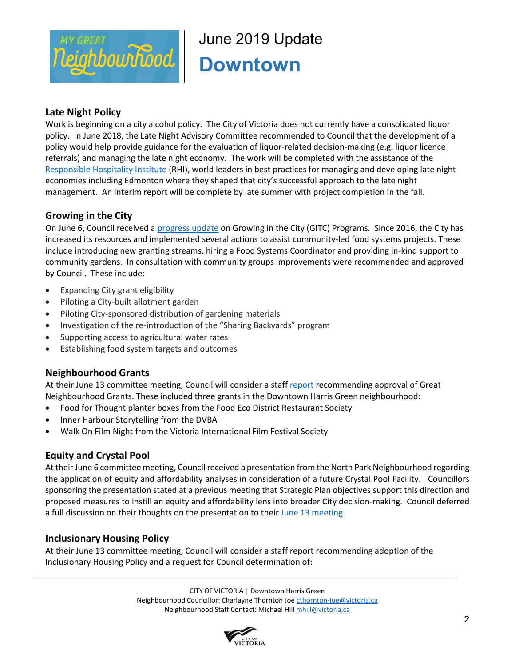

# June 2019 Update **Downtown**

# **Late Night Policy**

Work is beginning on a city alcohol policy. The City of Victoria does not currently have a consolidated liquor policy. In June 2018, the Late Night Advisory Committee recommended to Council that the development of a policy would help provide guidance for the evaluation of liquor-related decision-making (e.g. liquor licence referrals) and managing the late night economy. The work will be completed with the assistance of the [Responsible Hospitality Institute](https://can01.safelinks.protection.outlook.com/?url=https%3A%2F%2Frhiweb.org%2F&data=02%7C01%7Cmhill%40victoria.ca%7Cb990ee74af094bad417008d6e937b0d3%7Cd7098116c6e84d2a89eedb15b6c23375%7C0%7C0%7C636952822724380705&sdata=P8S64IJlB7DVAwG1SaZiVJ3IHHbXU6euEQ7TZA%2Fg7%2FE%3D&reserved=0) (RHI), world leaders in best practices for managing and developing late night economies including Edmonton where they shaped that city's successful approach to the late night management. An interim report will be complete by late summer with project completion in the fall.

# **Growing in the City**

On June 6, Council received a [progress update](https://pub-victoria.escribemeetings.com/filestream.ashx?DocumentId=39634) on Growing in the City (GITC) Programs. Since 2016, the City has increased its resources and implemented several actions to assist community-led food systems projects. These include introducing new granting streams, hiring a Food Systems Coordinator and providing in-kind support to community gardens. In consultation with community groups improvements were recommended and approved by Council. These include:

- Expanding City grant eligibility
- Piloting a City-built allotment garden
- Piloting City-sponsored distribution of gardening materials
- Investigation of the re-introduction of the "Sharing Backyards" program
- Supporting access to agricultural water rates
- Establishing food system targets and outcomes

#### **Neighbourhood Grants**

At their June 13 committee meeting, Council will consider a staf[f report](https://pub-victoria.escribemeetings.com/filestream.ashx?DocumentId=40834) recommending approval of Great Neighbourhood Grants. These included three grants in the Downtown Harris Green neighbourhood:

- Food for Thought planter boxes from the Food Eco District Restaurant Society
- Inner Harbour Storytelling from the DVBA
- Walk On Film Night from the Victoria International Film Festival Society

# **Equity and Crystal Pool**

At their June 6 committee meeting, Council received a presentation from the North Park Neighbourhood regarding the application of equity and affordability analyses in consideration of a future Crystal Pool Facility. Councillors sponsoring the presentation stated at a previous meeting that Strategic Plan objectives support this direction and proposed measures to instill an equity and affordability lens into broader City decision-making. Council deferred a full discussion on their thoughts on the presentation to their [June 13 meeting.](https://pub-victoria.escribemeetings.com/filestream.ashx?DocumentId=40845)

# **Inclusionary Housing Policy**

At their June 13 committee meeting, Council will consider a staff report recommending adoption of the Inclusionary Housing Policy and a request for Council determination of:

> CITY OF VICTORIA | Downtown Harris Green Neighbourhood Councillor: Charlayne Thornton Joe [cthornton-joe@victoria.ca](mailto:cthornton-joe@victoria.ca) Neighbourhood Staff Contact: Michael Hil[l mhill@victoria.ca](mailto:mhill@victoria.ca)